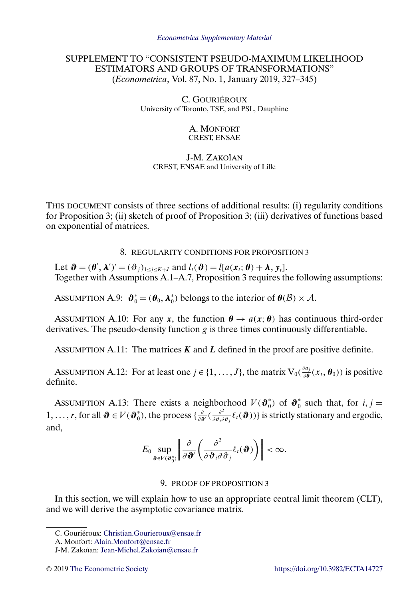# SUPPLEMENT TO "CONSISTENT PSEUDO-MAXIMUM LIKELIHOOD ESTIMATORS AND GROUPS OF TRANSFORMATIONS" (*Econometrica*, Vol. 87, No. 1, January 2019, 327–345)

C. GOURIÉROUX University of Toronto, TSE, and PSL, Dauphine

### A. MONFORT CREST, ENSAE

### J-M. ZAKOÏAN CREST, ENSAE and University of Lille

THIS DOCUMENT consists of three sections of additional results: (i) regularity conditions for Proposition 3; (ii) sketch of proof of Proposition 3; (iii) derivatives of functions based on exponential of matrices.

8. REGULARITY CONDITIONS FOR PROPOSITION 3

Let  $\boldsymbol{\vartheta} = (\boldsymbol{\theta}', \boldsymbol{\lambda}')' = (\vartheta_j)_{1 \leq j \leq K+J}$  and  $l_t(\boldsymbol{\vartheta}) = l[a(\boldsymbol{x}_t; \boldsymbol{\theta}) + \boldsymbol{\lambda}, \boldsymbol{y}_t].$ Together with Assumptions A.1–A.7, Proposition 3 requires the following assumptions:

ASSUMPTION A.9:  $\mathbf{\hat{\theta}}_0^* = (\mathbf{\hat{\theta}}_0, \mathbf{\lambda}_0^*)$  belongs to the interior of  $\mathbf{\theta}(\mathcal{B}) \times \mathcal{A}$ .

ASSUMPTION A.10: For any x, the function  $\theta \rightarrow a(x;\theta)$  has continuous third-order derivatives. The pseudo-density function  $g$  is three times continuously differentiable.

ASSUMPTION A.11: The matrices  $K$  and  $L$  defined in the proof are positive definite.

ASSUMPTION A.12: For at least one  $j \in \{1, ..., J\}$ , the matrix  $V_0(\frac{\partial a_j}{\partial \theta}(x_t, \theta_0))$  is positive definite.

ASSUMPTION A.13: There exists a neighborhood  $V(\mathbf{\theta}_{0}^{*})$  of  $\mathbf{\theta}_{0}^{*}$  such that, for  $i, j =$ 1, ..., r, for all  $\mathbf{\vartheta} \in V(\mathbf{\vartheta}_0^*)$ , the process  $\{\frac{\partial}{\partial \mathbf{\vartheta}'}(\frac{\partial^2}{\partial \theta_i \partial \theta_j} \ell_i(\mathbf{\vartheta}))\}$  is strictly stationary and ergodic, and,

$$
E_0 \sup_{\boldsymbol{\vartheta} \in V(\boldsymbol{\vartheta}_0^*)} \left\| \frac{\partial}{\partial \boldsymbol{\vartheta}'} \left( \frac{\partial^2}{\partial \boldsymbol{\vartheta}_i \partial \boldsymbol{\vartheta}_j} \ell_t(\boldsymbol{\vartheta}) \right) \right\| < \infty.
$$

## 9. PROOF OF PROPOSITION 3

In this section, we will explain how to use an appropriate central limit theorem (CLT), and we will derive the asymptotic covariance matrix.

C. Gouriéroux: [Christian.Gourieroux@ensae.fr](mailto:Christian.Gourieroux@ensae.fr)

A. Monfort: [Alain.Monfort@ensae.fr](mailto:Alain.Monfort@ensae.fr)

J-M. Zakoïan: [Jean-Michel.Zakoian@ensae.fr](mailto:Jean-Michel.Zakoian@ensae.fr)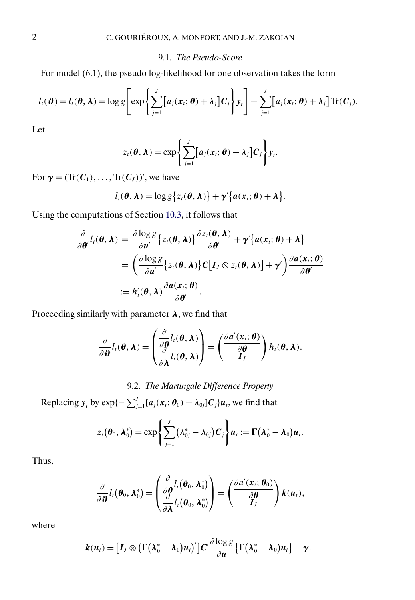### 9.1. *The Pseudo-Score*

For model (6.1), the pseudo log-likelihood for one observation takes the form

$$
l_{t}(\boldsymbol{\vartheta})=l_{t}(\boldsymbol{\theta},\boldsymbol{\lambda})=\log g\Bigg[\exp\Bigg\{\sum_{j=1}^{J}[a_{j}(\boldsymbol{x}_{t};\boldsymbol{\theta})+\lambda_{j}]C_{j}\Bigg\}\boldsymbol{y}_{t}\Bigg]+\sum_{j=1}^{J}[a_{j}(\boldsymbol{x}_{t};\boldsymbol{\theta})+\lambda_{j}]\operatorname{Tr}(C_{j}).
$$

Let

$$
z_{t}(\boldsymbol{\theta}, \boldsymbol{\lambda}) = \exp \left\{ \sum_{j=1}^{J} [a_{j}(\boldsymbol{x}_{t}; \boldsymbol{\theta}) + \lambda_{j}] \boldsymbol{C}_{j} \right\} y_{t}.
$$

For  $\gamma = (\text{Tr}(C_1), \dots, \text{Tr}(C_J))'$ , we have

$$
l_i(\boldsymbol{\theta},\boldsymbol{\lambda})=\log g\big\{z_i(\boldsymbol{\theta},\boldsymbol{\lambda})\big\}+\boldsymbol{\gamma}'\big\{\boldsymbol{a}(\boldsymbol{x}_i;\boldsymbol{\theta})+\boldsymbol{\lambda}\big\}.
$$

Using the computations of Section [10.3,](#page-4-0) it follows that

$$
\frac{\partial}{\partial \theta'} l_i(\theta, \lambda) = \frac{\partial \log g}{\partial u'} \Big\{ z_i(\theta, \lambda) \Big\} \frac{\partial z_i(\theta, \lambda)}{\partial \theta'} + \gamma' \Big\{ a(x_i; \theta) + \lambda \Big\} \n= \left( \frac{\partial \log g}{\partial u'} \Big\{ z_i(\theta, \lambda) \Big\} C \Big[I_J \otimes z_i(\theta, \lambda) \Big] + \gamma' \right) \frac{\partial a(x_i; \theta)}{\partial \theta'} \n:= h'_i(\theta, \lambda) \frac{\partial a(x_i; \theta)}{\partial \theta'}.
$$

Proceeding similarly with parameter  $\lambda$ , we find that

$$
\frac{\partial}{\partial \boldsymbol{\vartheta}}l_i(\boldsymbol{\theta},\boldsymbol{\lambda})=\left(\frac{\frac{\partial}{\partial \boldsymbol{\theta}}l_i(\boldsymbol{\theta},\boldsymbol{\lambda})}{\frac{\partial}{\partial \boldsymbol{\lambda}}l_i(\boldsymbol{\theta},\boldsymbol{\lambda})}\right)=\left(\frac{\partial \boldsymbol{a}'(\boldsymbol{x}_i;\boldsymbol{\theta})}{\frac{\partial \boldsymbol{\theta}}{l_j}}\right)h_i(\boldsymbol{\theta},\boldsymbol{\lambda}).
$$

# 9.2. *The Martingale Difference Property*

Replacing  $y_t$  by exp{ $-\sum_{j=1}^J [a_j(x_t;\theta_0) + \lambda_{0j}]C_j u_t$ , we find that

$$
z_t(\boldsymbol{\theta}_0,\boldsymbol{\lambda}_0^*)=\exp\left\{\sum_{j=1}^J(\lambda_{0j}^*-\lambda_{0j})\boldsymbol{C}_j\right\}\boldsymbol{u}_t:=\boldsymbol{\Gamma}\big(\boldsymbol{\lambda}_0^*-\boldsymbol{\lambda}_0\big)\boldsymbol{u}_t.
$$

Thus,

$$
\frac{\partial}{\partial \boldsymbol{\vartheta}}l_{\ell}(\boldsymbol{\theta}_{0},\boldsymbol{\lambda}_{0}^{*})=\left(\frac{\frac{\partial}{\partial \boldsymbol{\theta}}l_{\ell}(\boldsymbol{\theta}_{0},\boldsymbol{\lambda}_{0}^{*})}{\frac{\partial}{\partial \boldsymbol{\lambda}}l_{\ell}(\boldsymbol{\theta}_{0},\boldsymbol{\lambda}_{0}^{*})}\right)=\left(\frac{\partial a^{\prime}(x_{\ell};\boldsymbol{\theta}_{0})}{\partial \boldsymbol{\theta}}\right)k(u_{\ell}),
$$

where

$$
\boldsymbol{k}(\boldsymbol{u}_t) = \big[\boldsymbol{I}_J \otimes \big(\boldsymbol{\Gamma}\big(\boldsymbol{\lambda}_0^* - \boldsymbol{\lambda}_0\big)\boldsymbol{u}_t\big)'\big]\boldsymbol{C}'\frac{\partial \log g}{\partial \boldsymbol{u}}\big\{\boldsymbol{\Gamma}\big(\boldsymbol{\lambda}_0^* - \boldsymbol{\lambda}_0\big)\boldsymbol{u}_t\big\} + \boldsymbol{\gamma}.
$$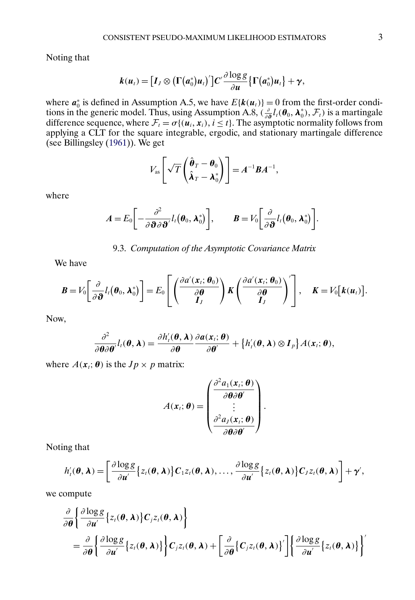<span id="page-2-0"></span>Noting that

$$
k(u_t) = [I_J \otimes (\Gamma(a_0^*)u_t)']C'\frac{\partial \log g}{\partial u}\{\Gamma(a_0^*)u_t\} + \gamma,
$$

where  $a_0^*$  is defined in Assumption A.5, we have  $E\{k(u_t)\}=0$  from the first-order conditions in the generic model. Thus, using Assumption A.8,  $(\frac{\partial}{\partial \theta} l_t(\theta_0, \lambda_0^*), \mathcal{F}_t)$  is a martingale difference sequence, where  $\mathcal{F}_t = \sigma\{(\mathbf{u}_i, \mathbf{x}_i), i \leq t\}$ . The asymptotic normality follows from applying a CLT for the square integrable, ergodic, and stationary martingale difference (see Billingsley [\(1961\)](#page-5-0)). We get

$$
V_{\rm as}\left[\sqrt{T}\left(\frac{\hat{\boldsymbol{\theta}}_T-\boldsymbol{\theta}_0}{\hat{\boldsymbol{\lambda}}_T-\boldsymbol{\lambda}_0^*}\right)\right]=A^{-1}\boldsymbol{B}A^{-1},
$$

where

$$
A=E_0\bigg[-\frac{\partial^2}{\partial \boldsymbol{\vartheta}\partial \boldsymbol{\vartheta}'}l_t(\boldsymbol{\theta}_0,\boldsymbol{\lambda}_0^*)\bigg],\qquad B=V_0\bigg[\frac{\partial}{\partial \boldsymbol{\vartheta}}l_t(\boldsymbol{\theta}_0,\boldsymbol{\lambda}_0^*)\bigg].
$$

9.3. *Computation of the Asymptotic Covariance Matrix*

We have

$$
\boldsymbol{B}=V_0\bigg[\frac{\partial}{\partial \boldsymbol{\vartheta}}l_t(\boldsymbol{\theta}_0,\boldsymbol{\lambda}_0^*)\bigg]=E_0\left[\left(\frac{\partial a'(\boldsymbol{x}_i;\boldsymbol{\theta}_0)}{\partial \boldsymbol{\theta}}\right)\boldsymbol{K}\left(\frac{\partial a'(\boldsymbol{x}_i;\boldsymbol{\theta}_0)}{\partial \boldsymbol{\theta}}\right)'\right],\quad \boldsymbol{K}=V_0\big[\boldsymbol{k}(\boldsymbol{u}_t)\big].
$$

Now,

$$
\frac{\partial^2}{\partial \boldsymbol{\theta} \partial \boldsymbol{\theta}'} l_i(\boldsymbol{\theta}, \boldsymbol{\lambda}) = \frac{\partial h'_i(\boldsymbol{\theta}, \boldsymbol{\lambda})}{\partial \boldsymbol{\theta}} \frac{\partial a(x_i; \boldsymbol{\theta})}{\partial \boldsymbol{\theta}'} + \left\{ h'_i(\boldsymbol{\theta}, \boldsymbol{\lambda}) \otimes \boldsymbol{I}_p \right\} A(x_i; \boldsymbol{\theta}),
$$

where  $A(x_t; \theta)$  is the  $Jp \times p$  matrix:

$$
A(\mathbf{x}_i; \boldsymbol{\theta}) = \begin{pmatrix} \frac{\partial^2 a_1(\mathbf{x}_i; \boldsymbol{\theta})}{\partial \boldsymbol{\theta} \partial \boldsymbol{\theta}'} \\ \vdots \\ \frac{\partial^2 a_j(\mathbf{x}_i; \boldsymbol{\theta})}{\partial \boldsymbol{\theta} \partial \boldsymbol{\theta}'} \end{pmatrix}.
$$

Noting that

$$
h'_{t}(\boldsymbol{\theta},\boldsymbol{\lambda})=\left[\frac{\partial \log g}{\partial u'}\big\{z_{t}(\boldsymbol{\theta},\boldsymbol{\lambda})\big\}C_{1}z_{t}(\boldsymbol{\theta},\boldsymbol{\lambda}),\ldots,\frac{\partial \log g}{\partial u'}\big\{z_{t}(\boldsymbol{\theta},\boldsymbol{\lambda})\big\}C_{J}z_{t}(\boldsymbol{\theta},\boldsymbol{\lambda})\right]+\boldsymbol{\gamma}',
$$

we compute

$$
\frac{\partial}{\partial \theta} \left\{ \frac{\partial \log g}{\partial u'} \{z_i(\theta, \lambda)\} C_j z_i(\theta, \lambda) \right\} \n= \frac{\partial}{\partial \theta} \left\{ \frac{\partial \log g}{\partial u'} \{z_i(\theta, \lambda)\} \right\} C_j z_i(\theta, \lambda) + \left[ \frac{\partial}{\partial \theta} \{C_j z_i(\theta, \lambda)\} \right] \left\{ \frac{\partial \log g}{\partial u'} \{z_i(\theta, \lambda)\} \right\}
$$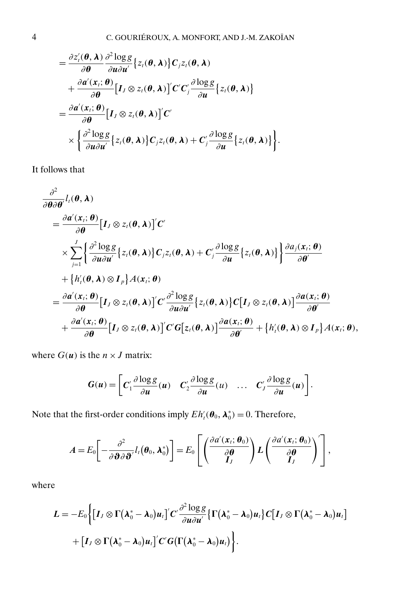$$
= \frac{\partial z'_i(\boldsymbol{\theta}, \boldsymbol{\lambda})}{\partial \boldsymbol{\theta}} \frac{\partial^2 \log g}{\partial u \partial u'} \Big\{ z_i(\boldsymbol{\theta}, \boldsymbol{\lambda}) \Big\} C_j z_i(\boldsymbol{\theta}, \boldsymbol{\lambda}) + \frac{\partial a'(x_i; \boldsymbol{\theta})}{\partial \boldsymbol{\theta}} \Big[ I_j \otimes z_i(\boldsymbol{\theta}, \boldsymbol{\lambda}) \Big] C' C'_j \frac{\partial \log g}{\partial u} \Big\{ z_i(\boldsymbol{\theta}, \boldsymbol{\lambda}) \Big\} = \frac{\partial a'(x_i; \boldsymbol{\theta})}{\partial \boldsymbol{\theta}} \Big[ I_j \otimes z_i(\boldsymbol{\theta}, \boldsymbol{\lambda}) \Big] C' \times \Big\{ \frac{\partial^2 \log g}{\partial u \partial u'} \Big\{ z_i(\boldsymbol{\theta}, \boldsymbol{\lambda}) \Big\} C_j z_i(\boldsymbol{\theta}, \boldsymbol{\lambda}) + C'_j \frac{\partial \log g}{\partial u} \Big\{ z_i(\boldsymbol{\theta}, \boldsymbol{\lambda}) \Big\} \Big\}.
$$

It follows that

$$
\frac{\partial^2}{\partial \theta \partial \theta'} l_i(\theta, \lambda)
$$
\n
$$
= \frac{\partial a'(x_i; \theta)}{\partial \theta} [I_j \otimes z_i(\theta, \lambda)]' C'
$$
\n
$$
\times \sum_{j=1}^J \left\{ \frac{\partial^2 \log g}{\partial u \partial u'} \{z_i(\theta, \lambda)\} C_j z_i(\theta, \lambda) + C_j' \frac{\partial \log g}{\partial u} \{z_i(\theta, \lambda)\} \right\} \frac{\partial a_j(x_i; \theta)}{\partial \theta'}
$$
\n
$$
+ \left\{ h'_i(\theta, \lambda) \otimes I_p \right\} A(x_i; \theta)
$$
\n
$$
= \frac{\partial a'(x_i; \theta)}{\partial \theta} [I_j \otimes z_i(\theta, \lambda)]' C' \frac{\partial^2 \log g}{\partial u \partial u'} \{z_i(\theta, \lambda)\} C [I_j \otimes z_i(\theta, \lambda)] \frac{\partial a(x_i; \theta)}{\partial \theta'} \newline + \frac{\partial a'(x_i; \theta)}{\partial \theta} [I_j \otimes z_i(\theta, \lambda)]' C' G [z_i(\theta, \lambda)] \frac{\partial a(x_i; \theta)}{\partial \theta'} + \left\{ h'_i(\theta, \lambda) \otimes I_p \right\} A(x_i; \theta),
$$

where  $G(u)$  is the  $n \times J$  matrix:

$$
G(u) = \left[ C_1' \frac{\partial \log g}{\partial u}(u) \quad C_2' \frac{\partial \log g}{\partial u}(u) \quad \dots \quad C_j' \frac{\partial \log g}{\partial u}(u) \right].
$$

Note that the first-order conditions imply  $E h'_i(\theta_0, \lambda_0^*) = 0$ . Therefore,

$$
A=E_0\bigg[-\frac{\partial^2}{\partial \boldsymbol{\vartheta}\partial \boldsymbol{\vartheta}'}l_i(\boldsymbol{\theta}_0,\boldsymbol{\lambda}_0^*)\bigg]=E_0\left[\left(\frac{\partial a'(x_i;\boldsymbol{\theta}_0)}{\partial \boldsymbol{\theta}}\right)L\left(\frac{\partial a'(x_i;\boldsymbol{\theta}_0)}{\partial \boldsymbol{\theta}}\right)'\right],
$$

where

$$
L = -E_0 \Biggl\{ \bigl[I_J \otimes \Gamma(\lambda_0^* - \lambda_0)u_t \bigr] C' \frac{\partial^2 \log g}{\partial u \partial u'} \biggl\{ \Gamma(\lambda_0^* - \lambda_0)u_t \biggr\} C \bigl[I_J \otimes \Gamma(\lambda_0^* - \lambda_0)u_t \bigr] + \bigl[I_J \otimes \Gamma(\lambda_0^* - \lambda_0)u_t \bigr] C' G \bigl( \Gamma(\lambda_0^* - \lambda_0)u_t \bigr) \Biggr\}.
$$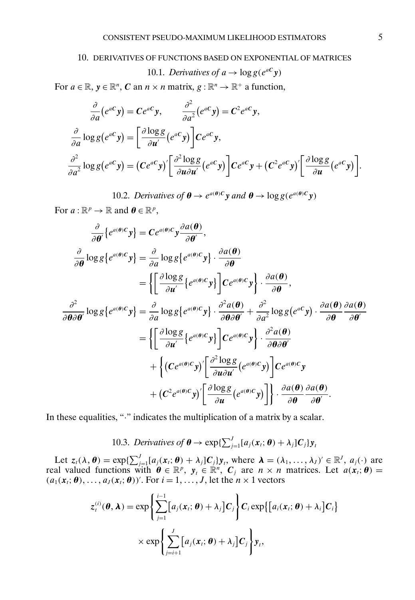#### <span id="page-4-0"></span>10. DERIVATIVES OF FUNCTIONS BASED ON EXPONENTIAL OF MATRICES

10.1. Derivatives of 
$$
a \rightarrow \log g(e^{aC}y)
$$

For  $a \in \mathbb{R}$ ,  $y \in \mathbb{R}^n$ , C an  $n \times n$  matrix,  $g : \mathbb{R}^n \to \mathbb{R}^+$  a function,

$$
\frac{\partial}{\partial a}(e^{aC}y) = Ce^{aC}y, \qquad \frac{\partial^2}{\partial a^2}(e^{aC}y) = C^2e^{aC}y,
$$

$$
\frac{\partial}{\partial a}\log g(e^{aC}y) = \left[\frac{\partial \log g}{\partial u'}(e^{aC}y)\right]Ce^{aC}y,
$$

$$
\frac{\partial^2}{\partial a^2}\log g(e^{aC}y) = (Ce^{aC}y)' \left[\frac{\partial^2 \log g}{\partial u \partial u'}(e^{aC}y)\right]Ce^{aC}y + (C^2e^{aC}y)' \left[\frac{\partial \log g}{\partial u}(e^{aC}y)\right].
$$

10.2. *Derivatives of*  $\theta \rightarrow e^{a(\theta)C}y$  *and*  $\theta \rightarrow \log g(e^{a(\theta)C}y)$ 

For  $a : \mathbb{R}^p \to \mathbb{R}$  and  $\theta \in \mathbb{R}^p$ ,

$$
\frac{\partial}{\partial \theta} \{ e^{a(\theta)C} y \} = C e^{a(\theta)C} y \frac{\partial a(\theta)}{\partial \theta'},
$$
\n
$$
\frac{\partial}{\partial \theta} \log g \{ e^{a(\theta)C} y \} = \frac{\partial}{\partial a} \log g \{ e^{a(\theta)C} y \} \cdot \frac{\partial a(\theta)}{\partial \theta} \n= \left\{ \left[ \frac{\partial \log g}{\partial u'} \{ e^{a(\theta)C} y \} \right] C e^{a(\theta)C} y \} \cdot \frac{\partial a(\theta)}{\partial \theta},
$$
\n
$$
\frac{\partial^2}{\partial \theta \partial \theta'} \log g \{ e^{a(\theta)C} y \} = \frac{\partial}{\partial a} \log g \{ e^{a(\theta)C} y \} \cdot \frac{\partial^2 a(\theta)}{\partial \theta \partial \theta'} + \frac{\partial^2}{\partial a^2} \log g (e^{aC} y) \cdot \frac{\partial a(\theta)}{\partial \theta} \frac{\partial a(\theta)}{\partial \theta'} \}
$$
\n
$$
= \left\{ \left[ \frac{\partial \log g}{\partial u'} \{ e^{a(\theta)C} y \} \right] C e^{a(\theta)C} y \right\} \cdot \frac{\partial^2 a(\theta)}{\partial \theta \partial \theta'} \right. \\
\left. + \left\{ (C e^{a(\theta)C} y)' \left[ \frac{\partial^2 \log g}{\partial u \partial u'} (e^{a(\theta)C} y) \right] C e^{a(\theta)C} y \right. \\
\left. + (C^2 e^{a(\theta)C} y)' \left[ \frac{\partial \log g}{\partial u} (e^{a(\theta)C} y) \right] \right\} \cdot \frac{\partial a(\theta)}{\partial \theta} \frac{\partial a(\theta)}{\partial \theta'}.
$$

In these equalities, "." indicates the multiplication of a matrix by a scalar.

10.3. Derivatives of 
$$
\boldsymbol{\theta} \to \exp\{\sum_{j=1}^{J} [a_j(\mathbf{x}_t; \boldsymbol{\theta}) + \lambda_j] \mathbf{C}_j\} \mathbf{y}_t
$$

Let  $z_i(\lambda, \theta) = \exp\{\sum_{j=1}^J [a_j(x_i; \theta) + \lambda_j]C_j\}y_i$ , where  $\lambda = (\lambda_1, \dots, \lambda_J)' \in \mathbb{R}^J$ ,  $a_j(\cdot)$  are real valued functions with  $\theta \in \mathbb{R}^p$ ,  $y_t \in \mathbb{R}^n$ ,  $C_j$  are  $n \times n$  matrices. Let  $a(x_t; \theta) =$  $(a_1(\mathbf{x}_t; \boldsymbol{\theta}), \dots, a_J(\mathbf{x}_t; \boldsymbol{\theta}))'$ . For  $i = 1, \dots, J$ , let the  $n \times 1$  vectors

$$
z_i^{(i)}(\boldsymbol{\theta}, \boldsymbol{\lambda}) = \exp \left\{ \sum_{j=1}^{i-1} [a_j(\boldsymbol{x}_i; \boldsymbol{\theta}) + \lambda_j] \boldsymbol{C}_j \right\} \boldsymbol{C}_i \exp \{ [a_i(\boldsymbol{x}_i; \boldsymbol{\theta}) + \lambda_i] \boldsymbol{C}_i \} \\
\times \exp \left\{ \sum_{j=i+1}^J [a_j(\boldsymbol{x}_i; \boldsymbol{\theta}) + \lambda_j] \boldsymbol{C}_j \right\} \boldsymbol{y}_i,
$$